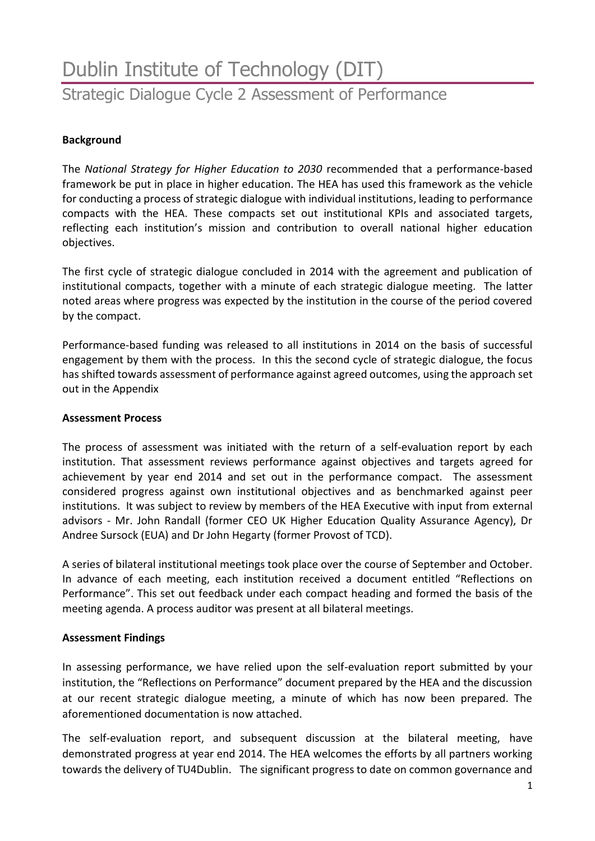# Dublin Institute of Technology (DIT) Strategic Dialogue Cycle 2 Assessment of Performance

### **Background**

The *National Strategy for Higher Education to 2030* recommended that a performance-based framework be put in place in higher education. The HEA has used this framework as the vehicle for conducting a process of strategic dialogue with individual institutions, leading to performance compacts with the HEA. These compacts set out institutional KPIs and associated targets, reflecting each institution's mission and contribution to overall national higher education objectives.

The first cycle of strategic dialogue concluded in 2014 with the agreement and publication of institutional compacts, together with a minute of each strategic dialogue meeting. The latter noted areas where progress was expected by the institution in the course of the period covered by the compact.

Performance-based funding was released to all institutions in 2014 on the basis of successful engagement by them with the process. In this the second cycle of strategic dialogue, the focus has shifted towards assessment of performance against agreed outcomes, using the approach set out in the Appendix

#### **Assessment Process**

The process of assessment was initiated with the return of a self-evaluation report by each institution. That assessment reviews performance against objectives and targets agreed for achievement by year end 2014 and set out in the performance compact. The assessment considered progress against own institutional objectives and as benchmarked against peer institutions. It was subject to review by members of the HEA Executive with input from external advisors - Mr. John Randall (former CEO UK Higher Education Quality Assurance Agency), Dr Andree Sursock (EUA) and Dr John Hegarty (former Provost of TCD).

A series of bilateral institutional meetings took place over the course of September and October. In advance of each meeting, each institution received a document entitled "Reflections on Performance". This set out feedback under each compact heading and formed the basis of the meeting agenda. A process auditor was present at all bilateral meetings.

#### **Assessment Findings**

In assessing performance, we have relied upon the self-evaluation report submitted by your institution, the "Reflections on Performance" document prepared by the HEA and the discussion at our recent strategic dialogue meeting, a minute of which has now been prepared. The aforementioned documentation is now attached.

The self-evaluation report, and subsequent discussion at the bilateral meeting, have demonstrated progress at year end 2014. The HEA welcomes the efforts by all partners working towards the delivery of TU4Dublin. The significant progress to date on common governance and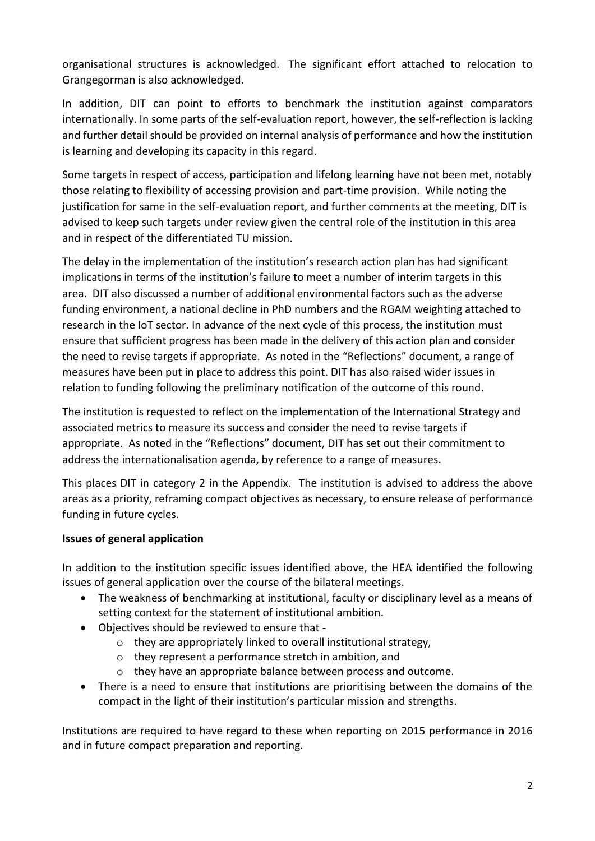organisational structures is acknowledged. The significant effort attached to relocation to Grangegorman is also acknowledged.

In addition, DIT can point to efforts to benchmark the institution against comparators internationally. In some parts of the self-evaluation report, however, the self-reflection is lacking and further detail should be provided on internal analysis of performance and how the institution is learning and developing its capacity in this regard.

Some targets in respect of access, participation and lifelong learning have not been met, notably those relating to flexibility of accessing provision and part-time provision. While noting the justification for same in the self-evaluation report, and further comments at the meeting, DIT is advised to keep such targets under review given the central role of the institution in this area and in respect of the differentiated TU mission.

The delay in the implementation of the institution's research action plan has had significant implications in terms of the institution's failure to meet a number of interim targets in this area. DIT also discussed a number of additional environmental factors such as the adverse funding environment, a national decline in PhD numbers and the RGAM weighting attached to research in the IoT sector. In advance of the next cycle of this process, the institution must ensure that sufficient progress has been made in the delivery of this action plan and consider the need to revise targets if appropriate. As noted in the "Reflections" document, a range of measures have been put in place to address this point. DIT has also raised wider issues in relation to funding following the preliminary notification of the outcome of this round.

The institution is requested to reflect on the implementation of the International Strategy and associated metrics to measure its success and consider the need to revise targets if appropriate. As noted in the "Reflections" document, DIT has set out their commitment to address the internationalisation agenda, by reference to a range of measures.

This places DIT in category 2 in the Appendix. The institution is advised to address the above areas as a priority, reframing compact objectives as necessary, to ensure release of performance funding in future cycles.

# **Issues of general application**

In addition to the institution specific issues identified above, the HEA identified the following issues of general application over the course of the bilateral meetings.

- The weakness of benchmarking at institutional, faculty or disciplinary level as a means of setting context for the statement of institutional ambition.
- Objectives should be reviewed to ensure that
	- o they are appropriately linked to overall institutional strategy,
	- o they represent a performance stretch in ambition, and
	- o they have an appropriate balance between process and outcome.
- There is a need to ensure that institutions are prioritising between the domains of the compact in the light of their institution's particular mission and strengths.

Institutions are required to have regard to these when reporting on 2015 performance in 2016 and in future compact preparation and reporting.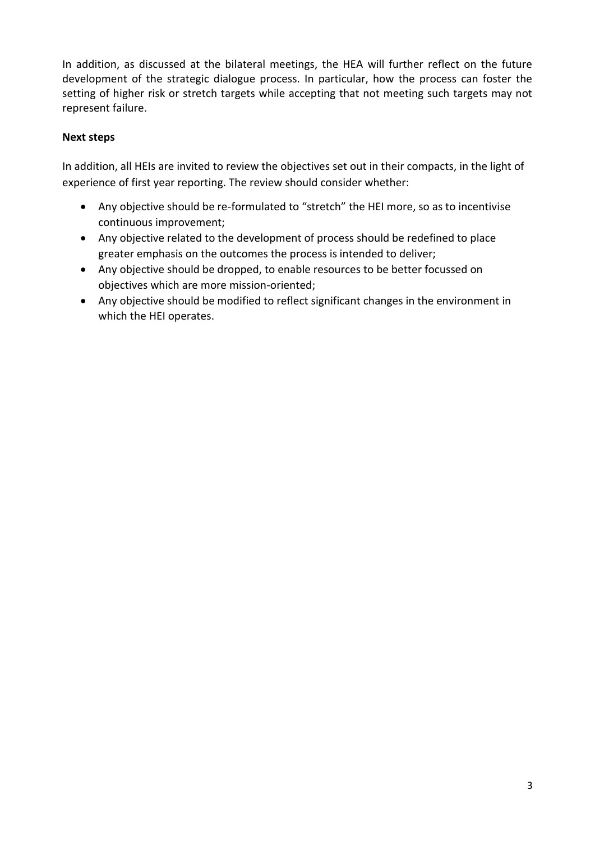In addition, as discussed at the bilateral meetings, the HEA will further reflect on the future development of the strategic dialogue process. In particular, how the process can foster the setting of higher risk or stretch targets while accepting that not meeting such targets may not represent failure.

## **Next steps**

In addition, all HEIs are invited to review the objectives set out in their compacts, in the light of experience of first year reporting. The review should consider whether:

- Any objective should be re-formulated to "stretch" the HEI more, so as to incentivise continuous improvement;
- Any objective related to the development of process should be redefined to place greater emphasis on the outcomes the process is intended to deliver;
- Any objective should be dropped, to enable resources to be better focussed on objectives which are more mission-oriented;
- Any objective should be modified to reflect significant changes in the environment in which the HEI operates.